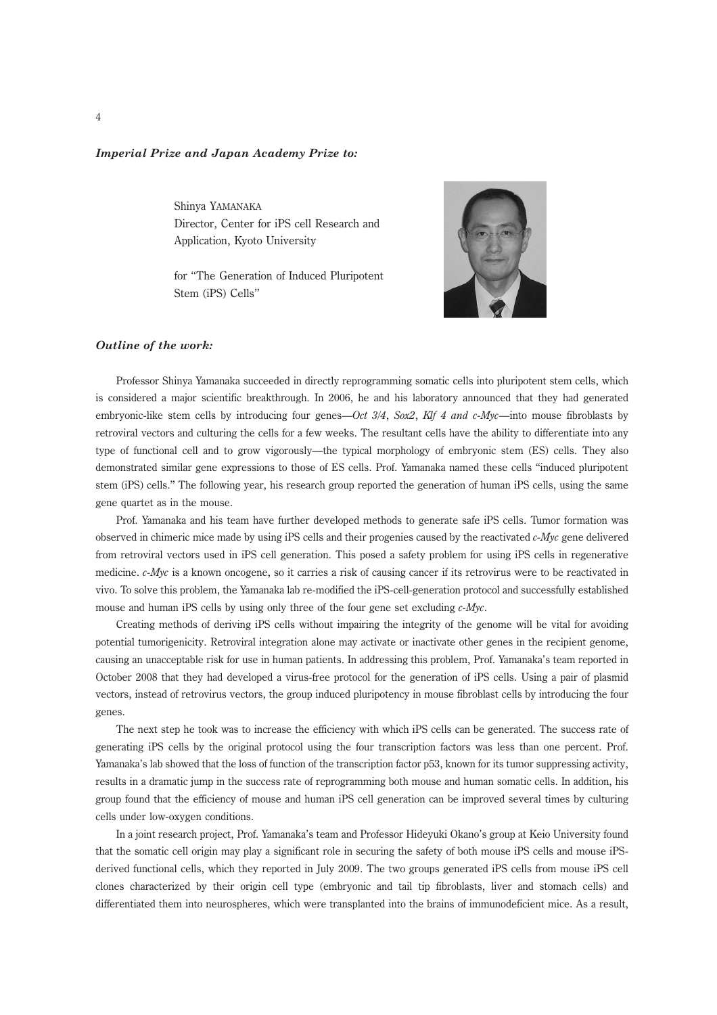## Imperial Prize and Japan Academy Prize to:

Shinya YAMANAKA Director, Center for iPS cell Research and Application, Kyoto University

for "The Generation of Induced Pluripotent Stem (iPS) Cells"



## Outline of the work:

Professor Shinya Yamanaka succeeded in directly reprogramming somatic cells into pluripotent stem cells, which is considered a major scientific breakthrough. In 2006, he and his laboratory announced that they had generated embryonic-like stem cells by introducing four genes—Oct  $3/4$ , Sox2, Klf 4 and c-Myc—into mouse fibroblasts by retroviral vectors and culturing the cells for a few weeks. The resultant cells have the ability to differentiate into any type of functional cell and to grow vigorously—the typical morphology of embryonic stem (ES) cells. They also demonstrated similar gene expressions to those of ES cells. Prof. Yamanaka named these cells ''induced pluripotent stem (iPS) cells.'' The following year, his research group reported the generation of human iPS cells, using the same gene quartet as in the mouse.

Prof. Yamanaka and his team have further developed methods to generate safe iPS cells. Tumor formation was observed in chimeric mice made by using iPS cells and their progenies caused by the reactivated  $c$ -Myc gene delivered from retroviral vectors used in iPS cell generation. This posed a safety problem for using iPS cells in regenerative medicine. c-Myc is a known oncogene, so it carries a risk of causing cancer if its retrovirus were to be reactivated in vivo. To solve this problem, the Yamanaka lab re-modified the iPS-cell-generation protocol and successfully established mouse and human iPS cells by using only three of the four gene set excluding  $c$ -*Myc*.

Creating methods of deriving iPS cells without impairing the integrity of the genome will be vital for avoiding potential tumorigenicity. Retroviral integration alone may activate or inactivate other genes in the recipient genome, causing an unacceptable risk for use in human patients. In addressing this problem, Prof. Yamanaka's team reported in October 2008 that they had developed a virus-free protocol for the generation of iPS cells. Using a pair of plasmid vectors, instead of retrovirus vectors, the group induced pluripotency in mouse fibroblast cells by introducing the four genes.

The next step he took was to increase the efficiency with which iPS cells can be generated. The success rate of generating iPS cells by the original protocol using the four transcription factors was less than one percent. Prof. Yamanaka's lab showed that the loss of function of the transcription factor p53, known for its tumor suppressing activity, results in a dramatic jump in the success rate of reprogramming both mouse and human somatic cells. In addition, his group found that the efficiency of mouse and human iPS cell generation can be improved several times by culturing cells under low-oxygen conditions.

In a joint research project, Prof. Yamanaka's team and Professor Hideyuki Okano's group at Keio University found that the somatic cell origin may play a significant role in securing the safety of both mouse iPS cells and mouse iPSderived functional cells, which they reported in July 2009. The two groups generated iPS cells from mouse iPS cell clones characterized by their origin cell type (embryonic and tail tip fibroblasts, liver and stomach cells) and differentiated them into neurospheres, which were transplanted into the brains of immunodeficient mice. As a result,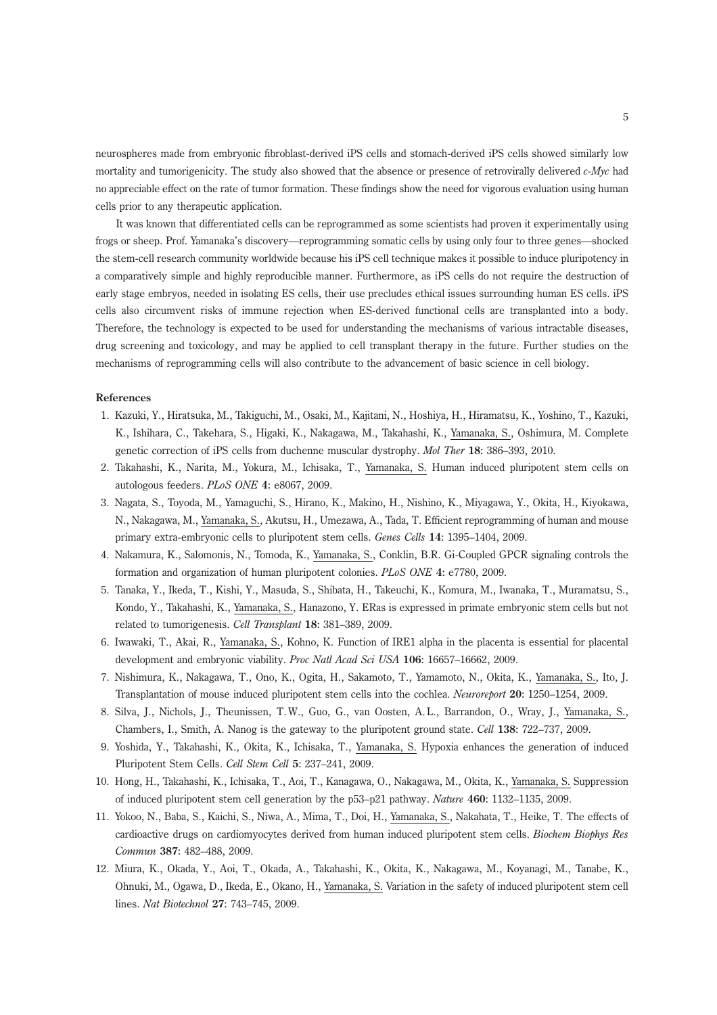neurospheres made from embryonic fibroblast-derived iPS cells and stomach-derived iPS cells showed similarly low mortality and tumorigenicity. The study also showed that the absence or presence of retrovirally delivered  $c$ -Myc had no appreciable effect on the rate of tumor formation. These findings show the need for vigorous evaluation using human cells prior to any therapeutic application.

It was known that differentiated cells can be reprogrammed as some scientists had proven it experimentally using frogs or sheep. Prof. Yamanaka's discovery—reprogramming somatic cells by using only four to three genes—shocked the stem-cell research community worldwide because his iPS cell technique makes it possible to induce pluripotency in a comparatively simple and highly reproducible manner. Furthermore, as iPS cells do not require the destruction of early stage embryos, needed in isolating ES cells, their use precludes ethical issues surrounding human ES cells. iPS cells also circumvent risks of immune rejection when ES-derived functional cells are transplanted into a body. Therefore, the technology is expected to be used for understanding the mechanisms of various intractable diseases, drug screening and toxicology, and may be applied to cell transplant therapy in the future. Further studies on the mechanisms of reprogramming cells will also contribute to the advancement of basic science in cell biology.

## References

- 1. Kazuki, Y., Hiratsuka, M., Takiguchi, M., Osaki, M., Kajitani, N., Hoshiya, H., Hiramatsu, K., Yoshino, T., Kazuki, K., Ishihara, C., Takehara, S., Higaki, K., Nakagawa, M., Takahashi, K., Yamanaka, S., Oshimura, M. Complete genetic correction of iPS cells from duchenne muscular dystrophy. Mol Ther 18: 386–393, 2010.
- 2. Takahashi, K., Narita, M., Yokura, M., Ichisaka, T., Yamanaka, S. Human induced pluripotent stem cells on autologous feeders. PLoS ONE 4: e8067, 2009.
- 3. Nagata, S., Toyoda, M., Yamaguchi, S., Hirano, K., Makino, H., Nishino, K., Miyagawa, Y., Okita, H., Kiyokawa, N., Nakagawa, M., Yamanaka, S., Akutsu, H., Umezawa, A., Tada, T. Efficient reprogramming of human and mouse primary extra-embryonic cells to pluripotent stem cells. Genes Cells 14: 1395–1404, 2009.
- 4. Nakamura, K., Salomonis, N., Tomoda, K., Yamanaka, S., Conklin, B.R. Gi-Coupled GPCR signaling controls the formation and organization of human pluripotent colonies. PLoS ONE 4: e7780, 2009.
- 5. Tanaka, Y., Ikeda, T., Kishi, Y., Masuda, S., Shibata, H., Takeuchi, K., Komura, M., Iwanaka, T., Muramatsu, S., Kondo, Y., Takahashi, K., Yamanaka, S., Hanazono, Y. ERas is expressed in primate embryonic stem cells but not related to tumorigenesis. Cell Transplant 18: 381–389, 2009.
- 6. Iwawaki, T., Akai, R., Yamanaka, S., Kohno, K. Function of IRE1 alpha in the placenta is essential for placental development and embryonic viability. Proc Natl Acad Sci USA 106: 16657–16662, 2009.
- 7. Nishimura, K., Nakagawa, T., Ono, K., Ogita, H., Sakamoto, T., Yamamoto, N., Okita, K., Yamanaka, S., Ito, J. Transplantation of mouse induced pluripotent stem cells into the cochlea. Neuroreport 20: 1250–1254, 2009.
- 8. Silva, J., Nichols, J., Theunissen, T.W., Guo, G., van Oosten, A.L., Barrandon, O., Wray, J., Yamanaka, S., Chambers, I., Smith, A. Nanog is the gateway to the pluripotent ground state. Cell 138: 722–737, 2009.
- 9. Yoshida, Y., Takahashi, K., Okita, K., Ichisaka, T., Yamanaka, S. Hypoxia enhances the generation of induced Pluripotent Stem Cells. Cell Stem Cell 5: 237–241, 2009.
- 10. Hong, H., Takahashi, K., Ichisaka, T., Aoi, T., Kanagawa, O., Nakagawa, M., Okita, K., Yamanaka, S. Suppression of induced pluripotent stem cell generation by the p53–p21 pathway. Nature 460: 1132–1135, 2009.
- 11. Yokoo, N., Baba, S., Kaichi, S., Niwa, A., Mima, T., Doi, H., Yamanaka, S., Nakahata, T., Heike, T. The effects of cardioactive drugs on cardiomyocytes derived from human induced pluripotent stem cells. Biochem Biophys Res Commun 387: 482–488, 2009.
- 12. Miura, K., Okada, Y., Aoi, T., Okada, A., Takahashi, K., Okita, K., Nakagawa, M., Koyanagi, M., Tanabe, K., Ohnuki, M., Ogawa, D., Ikeda, E., Okano, H., Yamanaka, S. Variation in the safety of induced pluripotent stem cell lines. Nat Biotechnol 27: 743–745, 2009.